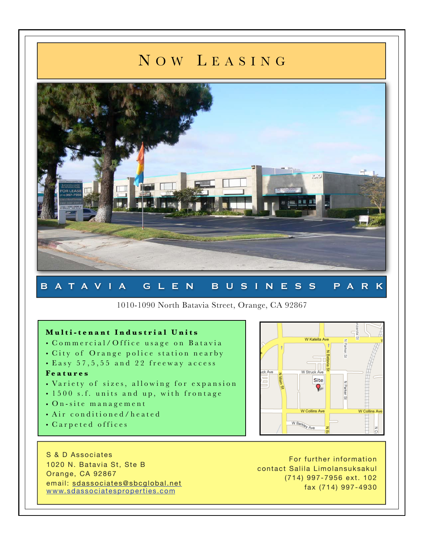## N O W L E A S I N G



### B A T A V I A G L E N B U S I N E S S P A R K

1010-1090 North Batavia Street, Orange, CA 92867

#### **M u l t i - t e n a n t I n d u s t r i a l U n i t s**

- Commercial/Office usage on Batavia
- City of Orange police station nearby
- Easy 57, 5, 55 and 22 freeway access

#### **F e a t u r e s**

- Variety of sizes, allowing for expansion
- 1500 s.f. units and up, with frontage
- On-site management
- Air conditioned/heated
- Carpeted offices

S & D Associates 1020 N. Batavia St, Ste B Orange, CA 92867 email: [sdassociates@sbcglobal.net](mailto:sdassociates@sbcglobal.net) [www.sdassociatesproperties.com](http://www.sdassociatesproperties.com)

For further information contact Salila Limolansuksakul (714) 997-7956 ext. 102 fax (714) 997-4930